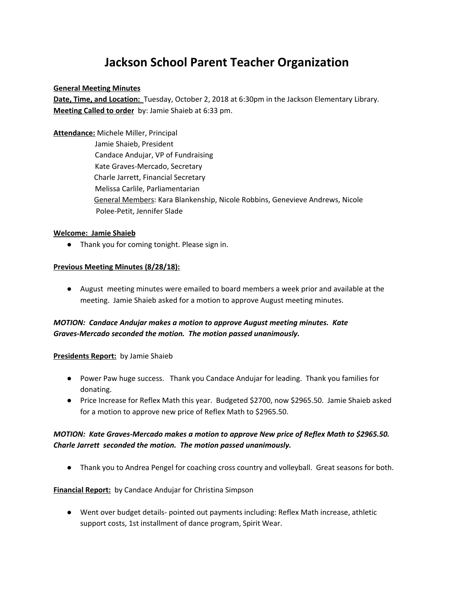# **Jackson School Parent Teacher Organization**

#### **General Meeting Minutes**

**Date, Time, and Location:** Tuesday, October 2, 2018 at 6:30pm in the Jackson Elementary Library. **Meeting Called to order** by: Jamie Shaieb at 6:33 pm.

**Attendance:** Michele Miller, Principal Jamie Shaieb, President Candace Andujar, VP of Fundraising Kate Graves-Mercado, Secretary Charle Jarrett, Financial Secretary Melissa Carlile, Parliamentarian General Members: Kara Blankenship, Nicole Robbins, Genevieve Andrews, Nicole Polee-Petit, Jennifer Slade

#### **Welcome: Jamie Shaieb**

● Thank you for coming tonight. Please sign in.

# **Previous Meeting Minutes (8/28/18):**

● August meeting minutes were emailed to board members a week prior and available at the meeting. Jamie Shaieb asked for a motion to approve August meeting minutes.

# *MOTION: Candace Andujar makes a motion to approve August meeting minutes. Kate Graves-Mercado seconded the motion. The motion passed unanimously.*

# **Presidents Report:** by Jamie Shaieb

- Power Paw huge success. Thank you Candace Andujar for leading. Thank you families for donating.
- Price Increase for Reflex Math this year. Budgeted \$2700, now \$2965.50. Jamie Shaieb asked for a motion to approve new price of Reflex Math to \$2965.50.

# *MOTION: Kate Graves-Mercado makes a motion to approve New price of Reflex Math to \$2965.50. Charle Jarrett seconded the motion. The motion passed unanimously.*

● Thank you to Andrea Pengel for coaching cross country and volleyball. Great seasons for both.

# **Financial Report:** by Candace Andujar for Christina Simpson

● Went over budget details- pointed out payments including: Reflex Math increase, athletic support costs, 1st installment of dance program, Spirit Wear.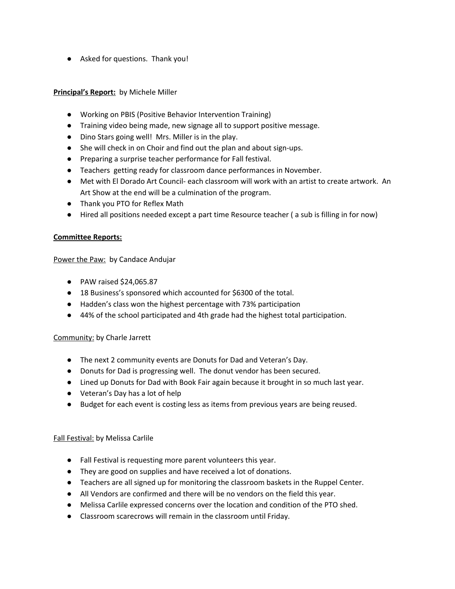● Asked for questions. Thank you!

#### **Principal's Report:** by Michele Miller

- Working on PBIS (Positive Behavior Intervention Training)
- Training video being made, new signage all to support positive message.
- Dino Stars going well! Mrs. Miller is in the play.
- She will check in on Choir and find out the plan and about sign-ups.
- Preparing a surprise teacher performance for Fall festival.
- Teachers getting ready for classroom dance performances in November.
- Met with El Dorado Art Council- each classroom will work with an artist to create artwork. An Art Show at the end will be a culmination of the program.
- Thank you PTO for Reflex Math
- Hired all positions needed except a part time Resource teacher ( a sub is filling in for now)

#### **Committee Reports:**

Power the Paw: by Candace Andujar

- PAW raised \$24,065.87
- 18 Business's sponsored which accounted for \$6300 of the total.
- Hadden's class won the highest percentage with 73% participation
- 44% of the school participated and 4th grade had the highest total participation.

# Community: by Charle Jarrett

- The next 2 community events are Donuts for Dad and Veteran's Day.
- Donuts for Dad is progressing well. The donut vendor has been secured.
- Lined up Donuts for Dad with Book Fair again because it brought in so much last year.
- Veteran's Day has a lot of help
- Budget for each event is costing less as items from previous years are being reused.

# Fall Festival: by Melissa Carlile

- Fall Festival is requesting more parent volunteers this year.
- They are good on supplies and have received a lot of donations.
- Teachers are all signed up for monitoring the classroom baskets in the Ruppel Center.
- All Vendors are confirmed and there will be no vendors on the field this year.
- Melissa Carlile expressed concerns over the location and condition of the PTO shed.
- Classroom scarecrows will remain in the classroom until Friday.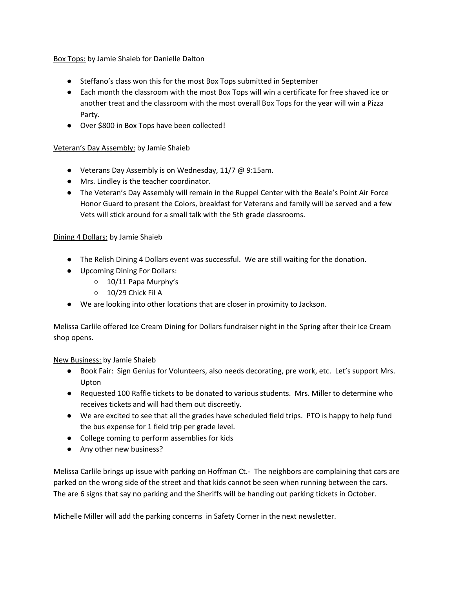Box Tops: by Jamie Shaieb for Danielle Dalton

- Steffano's class won this for the most Box Tops submitted in September
- Each month the classroom with the most Box Tops will win a certificate for free shaved ice or another treat and the classroom with the most overall Box Tops for the year will win a Pizza Party.
- Over \$800 in Box Tops have been collected!

# Veteran's Day Assembly: by Jamie Shaieb

- Veterans Day Assembly is on Wednesday, 11/7 @ 9:15am.
- Mrs. Lindley is the teacher coordinator.
- The Veteran's Day Assembly will remain in the Ruppel Center with the Beale's Point Air Force Honor Guard to present the Colors, breakfast for Veterans and family will be served and a few Vets will stick around for a small talk with the 5th grade classrooms.

# Dining 4 Dollars: by Jamie Shaieb

- The Relish Dining 4 Dollars event was successful. We are still waiting for the donation.
- Upcoming Dining For Dollars:
	- 10/11 Papa Murphy's
	- 10/29 Chick Fil A
- We are looking into other locations that are closer in proximity to Jackson.

Melissa Carlile offered Ice Cream Dining for Dollars fundraiser night in the Spring after their Ice Cream shop opens.

# New Business: by Jamie Shaieb

- Book Fair: Sign Genius for Volunteers, also needs decorating, pre work, etc. Let's support Mrs. Upton
- Requested 100 Raffle tickets to be donated to various students. Mrs. Miller to determine who receives tickets and will had them out discreetly.
- We are excited to see that all the grades have scheduled field trips. PTO is happy to help fund the bus expense for 1 field trip per grade level.
- College coming to perform assemblies for kids
- Any other new business?

Melissa Carlile brings up issue with parking on Hoffman Ct.- The neighbors are complaining that cars are parked on the wrong side of the street and that kids cannot be seen when running between the cars. The are 6 signs that say no parking and the Sheriffs will be handing out parking tickets in October.

Michelle Miller will add the parking concerns in Safety Corner in the next newsletter.